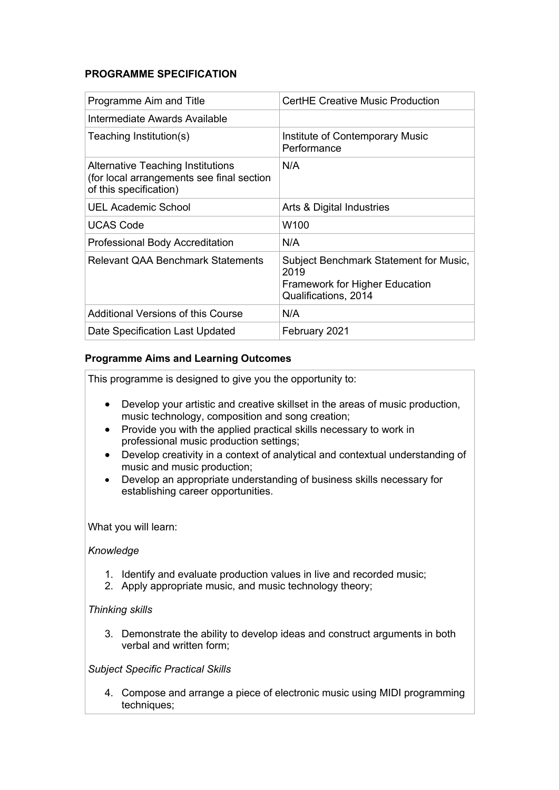# **PROGRAMME SPECIFICATION**

| Programme Aim and Title                                                                                         | <b>CertHE Creative Music Production</b>                                                                         |
|-----------------------------------------------------------------------------------------------------------------|-----------------------------------------------------------------------------------------------------------------|
| Intermediate Awards Available                                                                                   |                                                                                                                 |
| Teaching Institution(s)                                                                                         | Institute of Contemporary Music<br>Performance                                                                  |
| <b>Alternative Teaching Institutions</b><br>(for local arrangements see final section<br>of this specification) | N/A                                                                                                             |
| UEL Academic School                                                                                             | Arts & Digital Industries                                                                                       |
| <b>UCAS Code</b>                                                                                                | W100                                                                                                            |
| <b>Professional Body Accreditation</b>                                                                          | N/A                                                                                                             |
| Relevant QAA Benchmark Statements                                                                               | Subject Benchmark Statement for Music,<br>2019<br><b>Framework for Higher Education</b><br>Qualifications, 2014 |
| Additional Versions of this Course                                                                              | N/A                                                                                                             |
| Date Specification Last Updated                                                                                 | February 2021                                                                                                   |

# **Programme Aims and Learning Outcomes**

This programme is designed to give you the opportunity to:

- Develop your artistic and creative skillset in the areas of music production, music technology, composition and song creation;
- Provide you with the applied practical skills necessary to work in professional music production settings;
- Develop creativity in a context of analytical and contextual understanding of music and music production;
- Develop an appropriate understanding of business skills necessary for establishing career opportunities.

What you will learn:

### *Knowledge*

- 1. Identify and evaluate production values in live and recorded music;
- 2. Apply appropriate music, and music technology theory;

### *Thinking skills*

3. Demonstrate the ability to develop ideas and construct arguments in both verbal and written form;

### *Subject Specific Practical Skills*

4. Compose and arrange a piece of electronic music using MIDI programming techniques;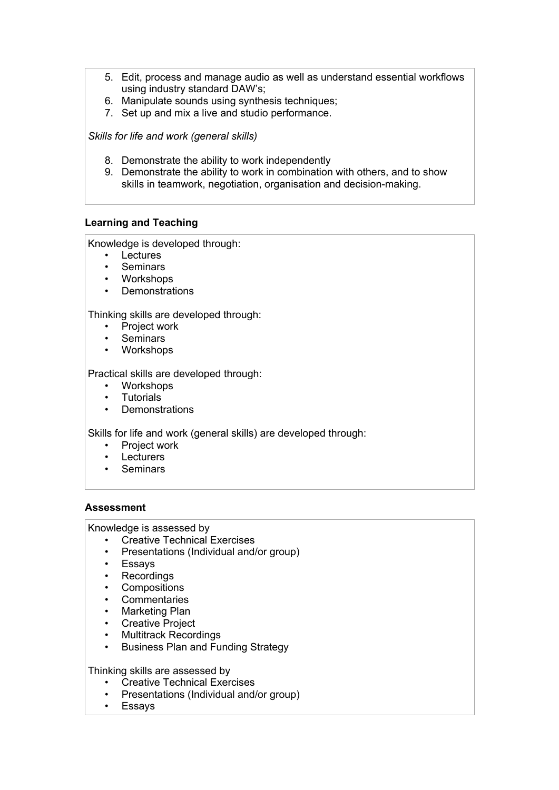- 5. Edit, process and manage audio as well as understand essential workflows using industry standard DAW's;
- 6. Manipulate sounds using synthesis techniques;
- 7. Set up and mix a live and studio performance.

*Skills for life and work (general skills)* 

- 8. Demonstrate the ability to work independently
- 9. Demonstrate the ability to work in combination with others, and to show skills in teamwork, negotiation, organisation and decision-making.

### **Learning and Teaching**

Knowledge is developed through:

- Lectures
- Seminars
- Workshops
- Demonstrations

Thinking skills are developed through:

- Project work
- Seminars
- Workshops

Practical skills are developed through:

- Workshops
- **Tutorials**
- Demonstrations

Skills for life and work (general skills) are developed through:

- Project work
- Lecturers
- Seminars

#### **Assessment**

Knowledge is assessed by

- Creative Technical Exercises
- Presentations (Individual and/or group)
- Essays
- Recordings
- Compositions
- Commentaries
- Marketing Plan
- Creative Project
- Multitrack Recordings
- Business Plan and Funding Strategy

Thinking skills are assessed by

- Creative Technical Exercises
- Presentations (Individual and/or group)
- Essays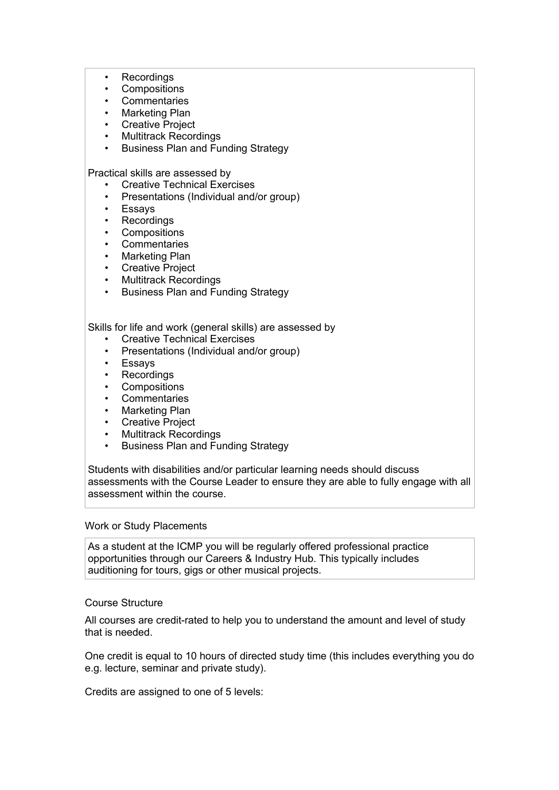- **Recordings** 
	- **Compositions**
	- **Commentaries**
	- Marketing Plan
	- **Creative Project**
	- Multitrack Recordings
	- Business Plan and Funding Strategy

Practical skills are assessed by

- Creative Technical Exercises
- Presentations (Individual and/or group)
- Essays
- Recordings
- **Compositions**
- Commentaries
- Marketing Plan
- Creative Project
- Multitrack Recordings
- Business Plan and Funding Strategy

Skills for life and work (general skills) are assessed by

- **Creative Technical Exercises**
- Presentations (Individual and/or group)
- Essays
- **Recordings**
- **Compositions**
- **Commentaries**
- Marketing Plan
- **Creative Project**
- Multitrack Recordings
- Business Plan and Funding Strategy

Students with disabilities and/or particular learning needs should discuss assessments with the Course Leader to ensure they are able to fully engage with all assessment within the course.

#### Work or Study Placements

As a student at the ICMP you will be regularly offered professional practice opportunities through our Careers & Industry Hub. This typically includes auditioning for tours, gigs or other musical projects.

#### Course Structure

All courses are credit-rated to help you to understand the amount and level of study that is needed.

One credit is equal to 10 hours of directed study time (this includes everything you do e.g. lecture, seminar and private study).

Credits are assigned to one of 5 levels: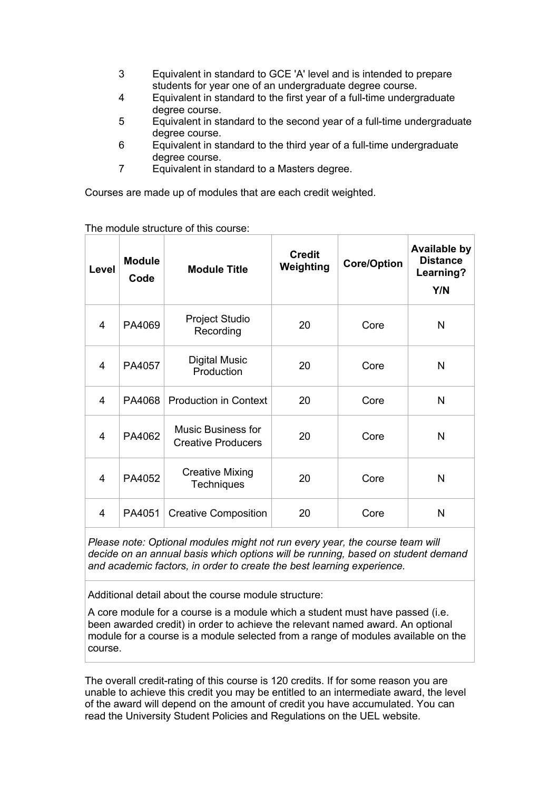- 3 Equivalent in standard to GCE 'A' level and is intended to prepare students for year one of an undergraduate degree course.
- 4 Equivalent in standard to the first year of a full-time undergraduate degree course.
- 5 Equivalent in standard to the second year of a full-time undergraduate degree course.
- 6 Equivalent in standard to the third year of a full-time undergraduate degree course.
- 7 Equivalent in standard to a Masters degree.

Courses are made up of modules that are each credit weighted.

| Level          | <b>Module</b><br>Code | <b>Module Title</b>                                    | <b>Credit</b><br>Weighting | <b>Core/Option</b> | <b>Available by</b><br><b>Distance</b><br>Learning?<br>Y/N |
|----------------|-----------------------|--------------------------------------------------------|----------------------------|--------------------|------------------------------------------------------------|
| $\overline{4}$ | PA4069                | <b>Project Studio</b><br>Recording                     | 20                         | Core               | N                                                          |
| 4              | PA4057                | <b>Digital Music</b><br>Production                     | 20                         | Core               | N                                                          |
| $\overline{4}$ | PA4068                | <b>Production in Context</b>                           | 20                         | Core               | N                                                          |
| 4              | PA4062                | <b>Music Business for</b><br><b>Creative Producers</b> | 20                         | Core               | N                                                          |
| 4              | PA4052                | <b>Creative Mixing</b><br><b>Techniques</b>            | 20                         | Core               | N                                                          |
| 4              | PA4051                | <b>Creative Composition</b>                            | 20                         | Core               | N                                                          |

The module structure of this course:

*Please note: Optional modules might not run every year, the course team will decide on an annual basis which options will be running, based on student demand and academic factors, in order to create the best learning experience.*

Additional detail about the course module structure:

A core module for a course is a module which a student must have passed (i.e. been awarded credit) in order to achieve the relevant named award. An optional module for a course is a module selected from a range of modules available on the course.

The overall credit-rating of this course is 120 credits. If for some reason you are unable to achieve this credit you may be entitled to an intermediate award, the level of the award will depend on the amount of credit you have accumulated. You can read the University Student Policies and Regulations on the UEL website.